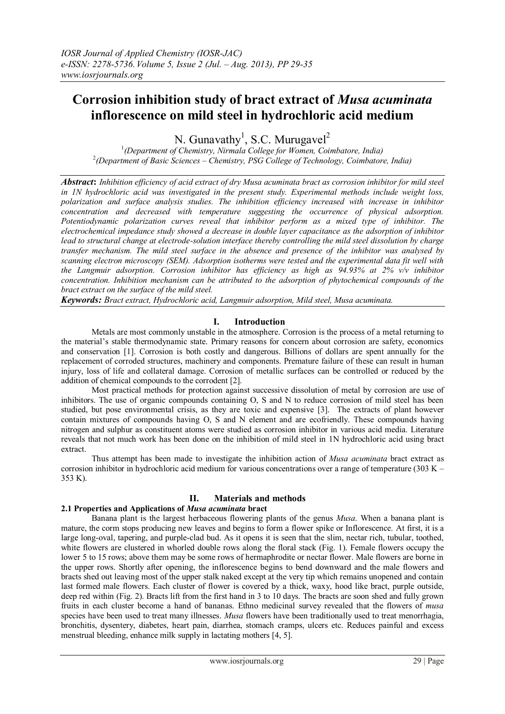# **Corrosion inhibition study of bract extract of** *Musa acuminata* **inflorescence on mild steel in hydrochloric acid medium**

N. Gunavathy<sup>1</sup>, S.C. Murugavel<sup>2</sup>

1 *(Department of Chemistry, Nirmala College for Women, Coimbatore, India)* 2 *(Department of Basic Sciences – Chemistry, PSG College of Technology, Coimbatore, India)*

*Abstract***:** *Inhibition efficiency of acid extract of dry Musa acuminata bract as corrosion inhibitor for mild steel in 1N hydrochloric acid was investigated in the present study. Experimental methods include weight loss, polarization and surface analysis studies. The inhibition efficiency increased with increase in inhibitor concentration and decreased with temperature suggesting the occurrence of physical adsorption. Potentiodynamic polarization curves reveal that inhibitor perform as a mixed type of inhibitor. The electrochemical impedance study showed a decrease in double layer capacitance as the adsorption of inhibitor lead to structural change at electrode-solution interface thereby controlling the mild steel dissolution by charge transfer mechanism. The mild steel surface in the absence and presence of the inhibitor was analysed by scanning electron microscopy (SEM). Adsorption isotherms were tested and the experimental data fit well with the Langmuir adsorption. Corrosion inhibitor has efficiency as high as 94.93% at 2% v/v inhibitor concentration. Inhibition mechanism can be attributed to the adsorption of phytochemical compounds of the bract extract on the surface of the mild steel.* 

*Keywords: Bract extract, Hydrochloric acid, Langmuir adsorption, Mild steel, Musa acuminata.* 

# **I. Introduction**

 Metals are most commonly unstable in the atmosphere. Corrosion is the process of a metal returning to the material's stable thermodynamic state. Primary reasons for concern about corrosion are safety, economics and conservation [1]. Corrosion is both costly and dangerous. Billions of dollars are spent annually for the replacement of corroded structures, machinery and components. Premature failure of these can result in human injury, loss of life and collateral damage. Corrosion of metallic surfaces can be controlled or reduced by the addition of chemical compounds to the corrodent [2].

Most practical methods for protection against successive dissolution of metal by corrosion are use of inhibitors. The use of organic compounds containing O, S and N to reduce corrosion of mild steel has been studied, but pose environmental crisis, as they are toxic and expensive [3]. The extracts of plant however contain mixtures of compounds having O, S and N element and are ecofriendly. These compounds having nitrogen and sulphur as constituent atoms were studied as corrosion inhibitor in various acid media. Literature reveals that not much work has been done on the inhibition of mild steel in 1N hydrochloric acid using bract extract.

 Thus attempt has been made to investigate the inhibition action of *Musa acuminata* bract extract as corrosion inhibitor in hydrochloric acid medium for various concentrations over a range of temperature (303 K – 353 K).

# **II. Materials and methods**

# **2.1 Properties and Applications of** *Musa acuminata* **bract**

Banana plant is the largest herbaceous flowering plants of the genus *Musa*. When a banana plant is mature, the corm stops producing new leaves and begins to form a flower spike or Inflorescence. At first, it is a large long-oval, tapering, and purple-clad bud. As it opens it is seen that the slim, nectar rich, tubular, toothed, white flowers are clustered in whorled double rows along the floral stack (Fig. 1). Female flowers occupy the lower 5 to 15 rows; above them may be some rows of hermaphrodite or nectar flower. Male flowers are borne in the upper rows. Shortly after opening, the inflorescence begins to bend downward and the male flowers and bracts shed out leaving most of the upper stalk naked except at the very tip which remains unopened and contain last formed male flowers. Each cluster of flower is covered by a thick, waxy, hood like bract, purple outside, deep red within (Fig. 2). Bracts lift from the first hand in 3 to 10 days. The bracts are soon shed and fully grown fruits in each cluster become a hand of bananas. Ethno medicinal survey revealed that the flowers of *musa* species have been used to treat many illnesses. *Musa* flowers have been traditionally used to treat menorrhagia, bronchitis, dysentery, diabetes, heart pain, diarrhea, stomach cramps, ulcers etc. Reduces painful and excess menstrual bleeding, enhance milk supply in lactating mothers [4, 5].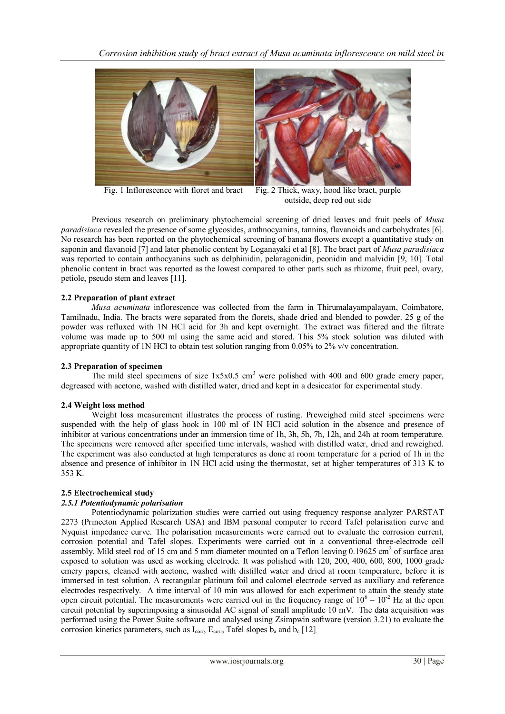*Corrosion inhibition study of bract extract of Musa acuminata inflorescence on mild steel in*



Fig. 1 Inflorescence with floret and bract Fig. 2 Thick, waxy, hood like bract, purple outside, deep red out side

Previous research on preliminary phytochemcial screening of dried leaves and fruit peels of *Musa paradisiaca* revealed the presence of some glycosides, anthnocyanins, tannins, flavanoids and carbohydrates [6]. No research has been reported on the phytochemical screening of banana flowers except a quantitative study on saponin and flavanoid [7] and later phenolic content by Loganayaki et al [8]. The bract part of *Musa paradisiaca* was reported to contain anthocyanins such as delphinidin, pelaragonidin, peonidin and malvidin [9, 10]. Total phenolic content in bract was reported as the lowest compared to other parts such as rhizome, fruit peel, ovary, petiole, pseudo stem and leaves [11].

# **2.2 Preparation of plant extract**

*Musa acuminata* inflorescence was collected from the farm in Thirumalayampalayam, Coimbatore, Tamilnadu, India. The bracts were separated from the florets, shade dried and blended to powder. 25 g of the powder was refluxed with 1N HCl acid for 3h and kept overnight. The extract was filtered and the filtrate volume was made up to 500 ml using the same acid and stored. This 5% stock solution was diluted with appropriate quantity of 1N HCl to obtain test solution ranging from 0.05% to 2% v/v concentration.

# **2.3 Preparation of specimen**

The mild steel specimens of size  $1x5x0.5$  cm<sup>3</sup> were polished with 400 and 600 grade emery paper, degreased with acetone, washed with distilled water, dried and kept in a desiccator for experimental study.

# **2.4 Weight loss method**

Weight loss measurement illustrates the process of rusting. Preweighed mild steel specimens were suspended with the help of glass hook in 100 ml of 1N HCl acid solution in the absence and presence of inhibitor at various concentrations under an immersion time of 1h, 3h, 5h, 7h, 12h, and 24h at room temperature. The specimens were removed after specified time intervals, washed with distilled water, dried and reweighed. The experiment was also conducted at high temperatures as done at room temperature for a period of 1h in the absence and presence of inhibitor in 1N HCl acid using the thermostat, set at higher temperatures of 313 K to 353 K.

# **2.5 Electrochemical study**

# *2.5.1 Potentiodynamic polarisation*

Potentiodynamic polarization studies were carried out using frequency response analyzer PARSTAT 2273 (Princeton Applied Research USA) and IBM personal computer to record Tafel polarisation curve and Nyquist impedance curve. The polarisation measurements were carried out to evaluate the corrosion current, corrosion potential and Tafel slopes. Experiments were carried out in a conventional three-electrode cell assembly. Mild steel rod of 15 cm and 5 mm diameter mounted on a Teflon leaving  $0.19625 \text{ cm}^2$  of surface area exposed to solution was used as working electrode. It was polished with 120, 200, 400, 600, 800, 1000 grade emery papers, cleaned with acetone, washed with distilled water and dried at room temperature, before it is immersed in test solution. A rectangular platinum foil and calomel electrode served as auxiliary and reference electrodes respectively. A time interval of 10 min was allowed for each experiment to attain the steady state open circuit potential. The measurements were carried out in the frequency range of  $10^6 - 10^{-2}$  Hz at the open circuit potential by superimposing a sinusoidal AC signal of small amplitude 10 mV. The data acquisition was performed using the Power Suite software and analysed using Zsimpwin software (version 3.21) to evaluate the corrosion kinetics parameters, such as  $I_{corr}$ ,  $E_{corr}$ , Tafel slopes  $b_a$  and  $b_c$  [12].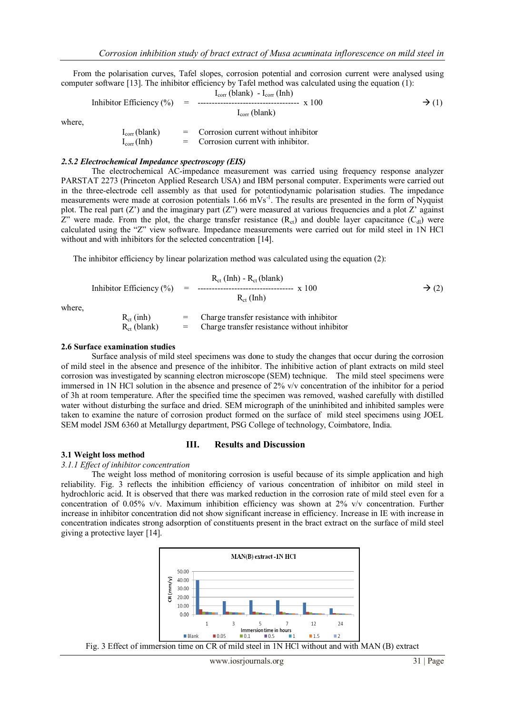From the polarisation curves, Tafel slopes, corrosion potential and corrosion current were analysed using computer software [13]. The inhibitor efficiency by Tafel method was calculated using the equation (1):

Inhibitor Efficiency (
$$
\%
$$
) = 1<sub>corr</sub> (blank) - I<sub>corr</sub> (Inh)

\nwhere,

\n
$$
I_{corr}(blank) = 1
$$
\n
$$
I_{corr}(blank) = 1
$$
\nCorrosion current without inhibitor

\n
$$
I_{corr}(Inh) = 1
$$
\nCorrosion current with inhibitor.

#### *2.5.2 Electrochemical Impedance spectroscopy (EIS)*

The electrochemical AC-impedance measurement was carried using frequency response analyzer PARSTAT 2273 (Princeton Applied Research USA) and IBM personal computer. Experiments were carried out in the three-electrode cell assembly as that used for potentiodynamic polarisation studies. The impedance measurements were made at corrosion potentials 1.66 mVs<sup>-1</sup>. The results are presented in the form of Nyquist plot. The real part (Z') and the imaginary part (Z") were measured at various frequencies and a plot Z' against Z" were made. From the plot, the charge transfer resistance  $(R<sub>ct</sub>)$  and double layer capacitance  $(C<sub>dl</sub>)$  were calculated using the "Z" view software. Impedance measurements were carried out for mild steel in 1N HCl without and with inhibitors for the selected concentration [14].

The inhibitor efficiency by linear polarization method was calculated using the equation (2):

Inhibitor Efficiency (%)

\n
$$
R_{ct} (Inh) - R_{ct} (blank)
$$
\nwhere,

\n
$$
R_{ct} (inh)
$$
\n
$$
= \text{Change transfer resistance with inhibitor}
$$
\n
$$
R_{ct} (inh)
$$

where,

where,

 $R_{ct}$  (inh)  $=$  Charge transfer resistance with inhibitor  $R_{ct}$  (blank) = Charge transfer resistance without inhibitor

#### **2.6 Surface examination studies**

Surface analysis of mild steel specimens was done to study the changes that occur during the corrosion of mild steel in the absence and presence of the inhibitor. The inhibitive action of plant extracts on mild steel corrosion was investigated by scanning electron microscope (SEM) technique. The mild steel specimens were immersed in 1N HCl solution in the absence and presence of 2% v/v concentration of the inhibitor for a period of 3h at room temperature. After the specified time the specimen was removed, washed carefully with distilled water without disturbing the surface and dried. SEM micrograph of the uninhibited and inhibited samples were taken to examine the nature of corrosion product formed on the surface of mild steel specimens using JOEL SEM model JSM 6360 at Metallurgy department, PSG College of technology, Coimbatore, India.

#### **III. Results and Discussion**

#### **3.1 Weight loss method**

#### *3.1.1 Effect of inhibitor concentration*

The weight loss method of monitoring corrosion is useful because of its simple application and high reliability. Fig. 3 reflects the inhibition efficiency of various concentration of inhibitor on mild steel in hydrochloric acid. It is observed that there was marked reduction in the corrosion rate of mild steel even for a concentration of 0.05% v/v. Maximum inhibition efficiency was shown at 2% v/v concentration. Further increase in inhibitor concentration did not show significant increase in efficiency. Increase in IE with increase in concentration indicates strong adsorption of constituents present in the bract extract on the surface of mild steel giving a protective layer [14].



Fig. 3 Effect of immersion time on CR of mild steel in 1N HCl without and with MAN (B) extract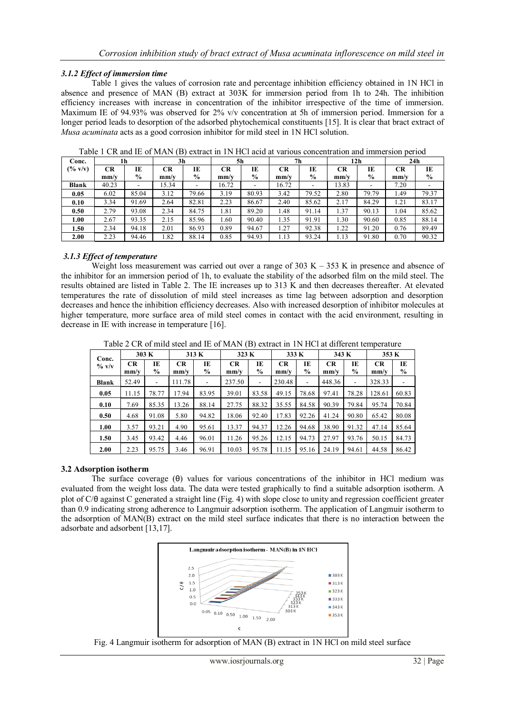# *3.1.2 Effect of immersion time*

Table 1 gives the values of corrosion rate and percentage inhibition efficiency obtained in 1N HCl in absence and presence of MAN (B) extract at 303K for immersion period from 1h to 24h. The inhibition efficiency increases with increase in concentration of the inhibitor irrespective of the time of immersion. Maximum IE of 94.93% was observed for 2% v/v concentration at 5h of immersion period. Immersion for a longer period leads to desorption of the adsorbed phytochemical constituents [15]. It is clear that bract extract of *Musa acuminata* acts as a good corrosion inhibitor for mild steel in 1N HCl solution.

| Conc.              | 1h                                   |               | 3 <sub>h</sub>                     |                          | 5h                                   |               | 7h                                   |       | 12 <sub>h</sub>                    |               | 24h  |       |
|--------------------|--------------------------------------|---------------|------------------------------------|--------------------------|--------------------------------------|---------------|--------------------------------------|-------|------------------------------------|---------------|------|-------|
| $(\% \text{ v/v})$ | CR                                   | IE            | <b>CR</b>                          | IE                       | CR                                   | IE            | <b>CR</b>                            | IE    | <b>CR</b>                          | IE            | CR   | IE    |
|                    | $\mathbf{m} \mathbf{m} / \mathbf{v}$ | $\frac{6}{9}$ | $\mathbf{m} \mathbf{m}/\mathbf{v}$ | $\frac{6}{9}$            | $\mathbf{m} \mathbf{m} / \mathbf{v}$ | $\frac{6}{9}$ | $\mathbf{m} \mathbf{m} / \mathbf{v}$ | $\%$  | $\mathbf{m} \mathbf{m}/\mathbf{v}$ | $\frac{0}{0}$ | mm/v | $\%$  |
| <b>Blank</b>       | 40.23                                | -             | 15.34                              | $\overline{\phantom{0}}$ | 16.72                                |               | 16.72                                | ۰     | 13.83                              | ۰             | 7.20 |       |
| 0.05               | 6.02                                 | 85.04         | 3.12                               | 79.66                    | 3.19                                 | 80.93         | 3.42                                 | 79.52 | 2.80                               | 79.79         | 1.49 | 79.37 |
| 0.10               | 3.34                                 | 91.69         | 2.64                               | 82.81                    | 2.23                                 | 86.67         | 2.40                                 | 85.62 | 2.17                               | 84.29         | 1.21 | 83.17 |
| 0.50               | 2.79                                 | 93.08         | 2.34                               | 84.75                    | 1.81                                 | 89.20         | 1.48                                 | 91.14 | 1.37                               | 90.13         | 1.04 | 85.62 |
| 1.00               | 2.67                                 | 93.35         | 2.15                               | 85.96                    | 1.60                                 | 90.40         | 1.35                                 | 91.91 | 1.30                               | 90.60         | 0.85 | 88.14 |
| 1.50               | 2.34                                 | 94.18         | 2.01                               | 86.93                    | 0.89                                 | 94.67         | 1.27                                 | 92.38 | 1.22                               | 91.20         | 0.76 | 89.49 |
| 2.00               | 2.23                                 | 94.46         | 1.82                               | 88.14                    | 0.85                                 | 94.93         | 1.13                                 | 93.24 | 1.13                               | 91.80         | 0.70 | 90.32 |

Table 1 CR and IE of MAN (B) extract in 1N HCl acid at various concentration and immersion period

# *3.1.3 Effect of temperature*

Weight loss measurement was carried out over a range of  $303 \text{ K} - 353 \text{ K}$  in presence and absence of the inhibitor for an immersion period of 1h, to evaluate the stability of the adsorbed film on the mild steel. The results obtained are listed in Table 2. The IE increases up to 313 K and then decreases thereafter. At elevated temperatures the rate of dissolution of mild steel increases as time lag between adsorption and desorption decreases and hence the inhibition efficiency decreases. Also with increased desorption of inhibitor molecules at higher temperature, more surface area of mild steel comes in contact with the acid environment, resulting in decrease in IE with increase in temperature [16].

| Twore $\Xi$ on or ming steep and in or min if $\Box$ , extract in The receive annotate temperature<br>Conc.<br>$\%$ v/v | 303 K             |                     | 313 K             |                      | 323 K             |             | 333 K             |            | 343 K             |                          | 353 K             |                     |
|-------------------------------------------------------------------------------------------------------------------------|-------------------|---------------------|-------------------|----------------------|-------------------|-------------|-------------------|------------|-------------------|--------------------------|-------------------|---------------------|
|                                                                                                                         | <b>CR</b><br>mm/v | IE<br>$\frac{6}{9}$ | <b>CR</b><br>mm/v | TE.<br>$\frac{6}{9}$ | <b>CR</b><br>mm/v | TE.<br>$\%$ | <b>CR</b><br>mm/v | IE<br>$\%$ | <b>CR</b><br>mm/v | IE<br>$\%$               | <b>CR</b><br>mm/v | IE<br>$\frac{6}{6}$ |
| <b>Blank</b>                                                                                                            | 52.49             | ۰                   | 111.78            |                      | 237.50            |             | 230.48            | ۰          | 448.36            | $\overline{\phantom{a}}$ | 328.33            |                     |
| 0.05                                                                                                                    | 11.15             | 78.77               | 17.94             | 83.95                | 39.01             | 83.58       | 49.15             | 78.68      | 97.41             | 78.28                    | 128.61            | 60.83               |
| 0.10                                                                                                                    | 7.69              | 85.35               | 13.26             | 88.14                | 27.75             | 88.32       | 35.55             | 84.58      | 90.39             | 79.84                    | 95.74             | 70.84               |
| 0.50                                                                                                                    | 4.68              | 91.08               | 5.80              | 94.82                | 18.06             | 92.40       | 17.83             | 92.26      | 41.24             | 90.80                    | 65.42             | 80.08               |
| 1.00                                                                                                                    | 3.57              | 93.21               | 4.90              | 95.61                | 13.37             | 94.37       | 12.26             | 94.68      | 38.90             | 91.32                    | 47.14             | 85.64               |
| 1.50                                                                                                                    | 3.45              | 93.42               | 4.46              | 96.01                | 11.26             | 95.26       | 12.15             | 94.73      | 27.97             | 93.76                    | 50.15             | 84.73               |
| 2.00                                                                                                                    | 2.23              | 95.75               | 3.46              | 96.91                | 10.03             | 95.78       | 11.15             | 95.16      | 24.19             | 94.61                    | 44.58             | 86.42               |

Table 2 CR of mild steel and IE of MAN (B) extract in 1N HCl at different temperature

# **3.2 Adsorption isotherm**

The surface coverage (θ) values for various concentrations of the inhibitor in HCl medium was evaluated from the weight loss data. The data were tested graphically to find a suitable adsorption isotherm. A plot of C/θ against C generated a straight line (Fig. 4) with slope close to unity and regression coefficient greater than 0.9 indicating strong adherence to Langmuir adsorption isotherm. The application of Langmuir isotherm to the adsorption of MAN(B) extract on the mild steel surface indicates that there is no interaction between the adsorbate and adsorbent [13,17].



Fig. 4 Langmuir isotherm for adsorption of MAN (B) extract in 1N HCl on mild steel surface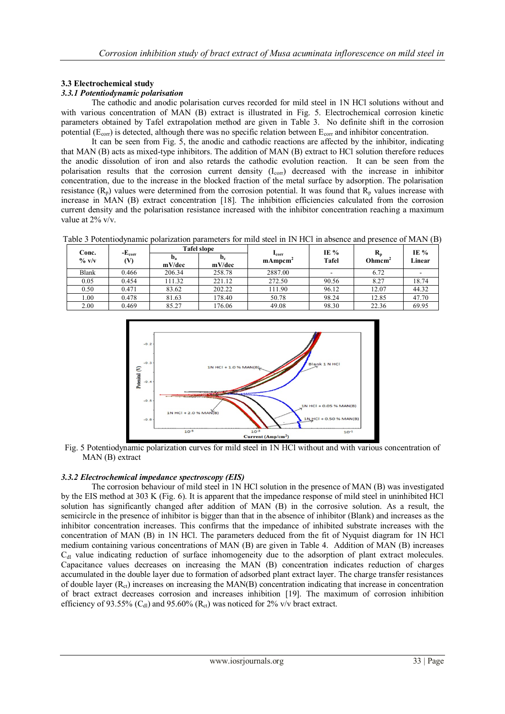# **3.3 Electrochemical study**

# *3.3.1 Potentiodynamic polarisation*

The cathodic and anodic polarisation curves recorded for mild steel in 1N HCl solutions without and with various concentration of MAN (B) extract is illustrated in Fig. 5. Electrochemical corrosion kinetic parameters obtained by Tafel extrapolation method are given in Table 3. No definite shift in the corrosion potential ( $E_{\text{corr}}$ ) is detected, although there was no specific relation between  $E_{\text{corr}}$  and inhibitor concentration.

It can be seen from Fig. 5, the anodic and cathodic reactions are affected by the inhibitor, indicating that MAN (B) acts as mixed-type inhibitors. The addition of MAN (B) extract to HCl solution therefore reduces the anodic dissolution of iron and also retards the cathodic evolution reaction. It can be seen from the polarisation results that the corrosion current density  $(I_{\text{corr}})$  decreased with the increase in inhibitor concentration, due to the increase in the blocked fraction of the metal surface by adsorption. The polarisation resistance  $(R_p)$  values were determined from the corrosion potential. It was found that  $R_p$  values increase with increase in MAN (B) extract concentration [18]. The inhibition efficiencies calculated from the corrosion current density and the polarisation resistance increased with the inhibitor concentration reaching a maximum value at 2% v/v.

Table 3 Potentiodynamic polarization parameters for mild steel in IN HCl in absence and presence of MAN (B)

| Conc.<br>$\%$ v/v | $-Ecorr$<br>(V) |                                     | <b>Tafel slope</b> |                                       |                 |                                                 | IE %<br>Linear |
|-------------------|-----------------|-------------------------------------|--------------------|---------------------------------------|-----------------|-------------------------------------------------|----------------|
|                   |                 | $\mathbf{D}_{\mathbf{a}}$<br>mV/dec | $D_c$<br>mV/dec    | $I_{\rm corr}$<br>mAmpcm <sup>4</sup> | IE $%$<br>Tafel | $\mathbf{R}_{\mathbf{n}}$<br>Ohmcm <sup>2</sup> |                |
| Blank             | 0.466           | 206.34                              | 258.78             | 2887.00                               |                 | 6.72                                            |                |
| 0.05              | 0.454           | 111.32                              | 221.12             | 272.50                                | 90.56           | 8.27                                            | 18.74          |
| 0.50              | 0.471           | 83.62                               | 202.22             | 111.90                                | 96.12           | 12.07                                           | 44.32          |
| 1.00              | 0.478           | 81.63                               | 178.40             | 50.78                                 | 98.24           | 12.85                                           | 47.70          |
| 2.00              | 0.469           | 85.27                               | 176.06             | 49.08                                 | 98.30           | 22.36                                           | 69.95          |



Fig. 5 Potentiodynamic polarization curves for mild steel in 1N HCl without and with various concentration of MAN (B) extract

# *3.3.2 Electrochemical impedance spectroscopy (EIS)*

The corrosion behaviour of mild steel in 1N HCl solution in the presence of MAN (B) was investigated by the EIS method at 303 K (Fig. 6). It is apparent that the impedance response of mild steel in uninhibited HCl solution has significantly changed after addition of MAN (B) in the corrosive solution. As a result, the semicircle in the presence of inhibitor is bigger than that in the absence of inhibitor (Blank) and increases as the inhibitor concentration increases. This confirms that the impedance of inhibited substrate increases with the concentration of MAN (B) in 1N HCl. The parameters deduced from the fit of Nyquist diagram for 1N HCl medium containing various concentrations of MAN (B) are given in Table 4. Addition of MAN (B) increases  $C<sub>dl</sub>$  value indicating reduction of surface inhomogeneity due to the adsorption of plant extract molecules. Capacitance values decreases on increasing the MAN (B) concentration indicates reduction of charges accumulated in the double layer due to formation of adsorbed plant extract layer. The charge transfer resistances of double layer  $(R_{ct})$  increases on increasing the MAN(B) concentration indicating that increase in concentration of bract extract decreases corrosion and increases inhibition [19]. The maximum of corrosion inhibition efficiency of 93.55% (C<sub>dl</sub>) and 95.60% (R<sub>ct</sub>) was noticed for 2% v/v bract extract.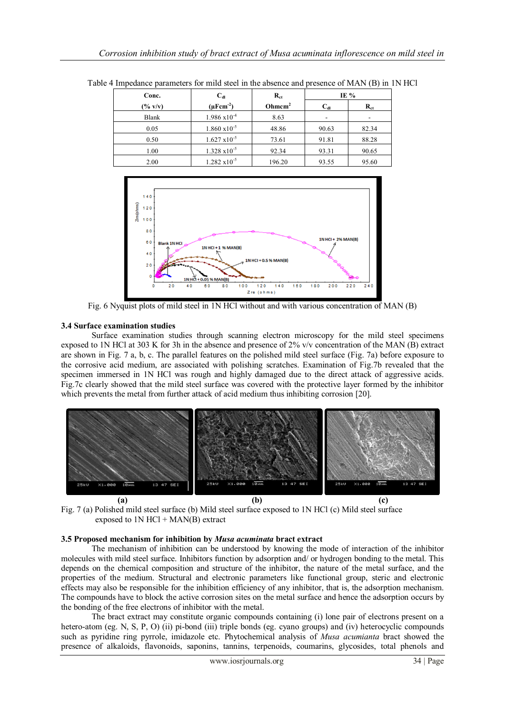| Conc.              | $C_{dl}$                   | $R_{ct}$           | IE $%$   |          |  |
|--------------------|----------------------------|--------------------|----------|----------|--|
| $(\% \text{ v/v})$ | $(\mu$ Fcm <sup>-2</sup> ) | Ohmcm <sup>2</sup> | $C_{dl}$ | $R_{ct}$ |  |
| Blank              | $1.986 \times 10^{-4}$     | 8.63               |          |          |  |
| 0.05               | $1.860 \times 10^{-5}$     | 48.86              | 90.63    | 82.34    |  |
| 0.50               | $1.627 \times 10^{-5}$     | 73.61              | 91.81    | 88.28    |  |
| 1.00               | $1.328 \times 10^{-5}$     | 92.34              | 93.31    | 90.65    |  |
| 2.00               | $1.282 \times 10^{-5}$     | 196.20             | 93.55    | 95.60    |  |

Table 4 Impedance parameters for mild steel in the absence and presence of MAN (B) in 1N HCl



Fig. 6 Nyquist plots of mild steel in 1N HCl without and with various concentration of MAN (B)

# **3.4 Surface examination studies**

Surface examination studies through scanning electron microscopy for the mild steel specimens exposed to 1N HCl at 303 K for 3h in the absence and presence of 2% v/v concentration of the MAN (B) extract are shown in Fig. 7 a, b, c. The parallel features on the polished mild steel surface (Fig. 7a) before exposure to the corrosive acid medium, are associated with polishing scratches. Examination of Fig.7b revealed that the specimen immersed in 1N HCl was rough and highly damaged due to the direct attack of aggressive acids. Fig.7c clearly showed that the mild steel surface was covered with the protective layer formed by the inhibitor which prevents the metal from further attack of acid medium thus inhibiting corrosion [20].



Fig. 7 (a) Polished mild steel surface (b) Mild steel surface exposed to 1N HCl (c) Mild steel surface exposed to  $1N$  HCl + MAN(B) extract

# **3.5 Proposed mechanism for inhibition by** *Musa acuminata* **bract extract**

The mechanism of inhibition can be understood by knowing the mode of interaction of the inhibitor molecules with mild steel surface. Inhibitors function by adsorption and/ or hydrogen bonding to the metal. This depends on the chemical composition and structure of the inhibitor, the nature of the metal surface, and the properties of the medium. Structural and electronic parameters like functional group, steric and electronic effects may also be responsible for the inhibition efficiency of any inhibitor, that is, the adsorption mechanism. The compounds have to block the active corrosion sites on the metal surface and hence the adsorption occurs by the bonding of the free electrons of inhibitor with the metal.

The bract extract may constitute organic compounds containing (i) lone pair of electrons present on a hetero-atom (eg. N, S, P, O) (ii) pi-bond (iii) triple bonds (eg. cyano groups) and (iv) heterocyclic compounds such as pyridine ring pyrrole, imidazole etc. Phytochemical analysis of *Musa acumianta* bract showed the presence of alkaloids, flavonoids, saponins, tannins, terpenoids, coumarins, glycosides, total phenols and